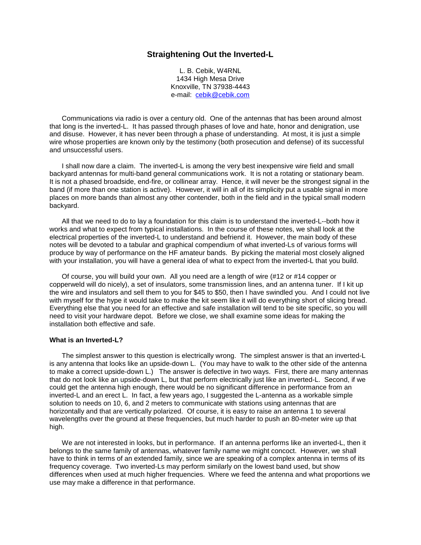# **Straightening Out the Inverted-L**

L. B. Cebik, W4RNL 1434 High Mesa Drive Knoxville, TN 37938-4443 e-mail: cebik@cebik.com

Communications via radio is over a century old. One of the antennas that has been around almost that long is the inverted-L. It has passed through phases of love and hate, honor and denigration, use and disuse. However, it has never been through a phase of understanding. At most, it is just a simple wire whose properties are known only by the testimony (both prosecution and defense) of its successful and unsuccessful users.

I shall now dare a claim. The inverted-L is among the very best inexpensive wire field and small backyard antennas for multi-band general communications work. It is not a rotating or stationary beam. It is not a phased broadside, end-fire, or collinear array. Hence, it will never be the strongest signal in the band (if more than one station is active). However, it will in all of its simplicity put a usable signal in more places on more bands than almost any other contender, both in the field and in the typical small modern backyard.

All that we need to do to lay a foundation for this claim is to understand the inverted-L--both how it works and what to expect from typical installations. In the course of these notes, we shall look at the electrical properties of the inverted-L to understand and befriend it. However, the main body of these notes will be devoted to a tabular and graphical compendium of what inverted-Ls of various forms will produce by way of performance on the HF amateur bands. By picking the material most closely aligned with your installation, you will have a general idea of what to expect from the inverted-L that you build.

Of course, you will build your own. All you need are a length of wire (#12 or #14 copper or copperweld will do nicely), a set of insulators, some transmission lines, and an antenna tuner. If I kit up the wire and insulators and sell them to you for \$45 to \$50, then I have swindled you. And I could not live with myself for the hype it would take to make the kit seem like it will do everything short of slicing bread. Everything else that you need for an effective and safe installation will tend to be site specific, so you will need to visit your hardware depot. Before we close, we shall examine some ideas for making the installation both effective and safe.

#### **What is an Inverted-L?**

The simplest answer to this question is electrically wrong. The simplest answer is that an inverted-L is any antenna that looks like an upside-down L. (You may have to walk to the other side of the antenna to make a correct upside-down L.) The answer is defective in two ways. First, there are many antennas that do not look like an upside-down L, but that perform electrically just like an inverted-L. Second, if we could get the antenna high enough, there would be no significant difference in performance from an inverted-L and an erect L. In fact, a few years ago, I suggested the L-antenna as a workable simple solution to needs on 10, 6, and 2 meters to communicate with stations using antennas that are horizontally and that are vertically polarized. Of course, it is easy to raise an antenna 1 to several wavelengths over the ground at these frequencies, but much harder to push an 80-meter wire up that high.

We are not interested in looks, but in performance. If an antenna performs like an inverted-L, then it belongs to the same family of antennas, whatever family name we might concoct. However, we shall have to think in terms of an extended family, since we are speaking of a complex antenna in terms of its frequency coverage. Two inverted-Ls may perform similarly on the lowest band used, but show differences when used at much higher frequencies. Where we feed the antenna and what proportions we use may make a difference in that performance.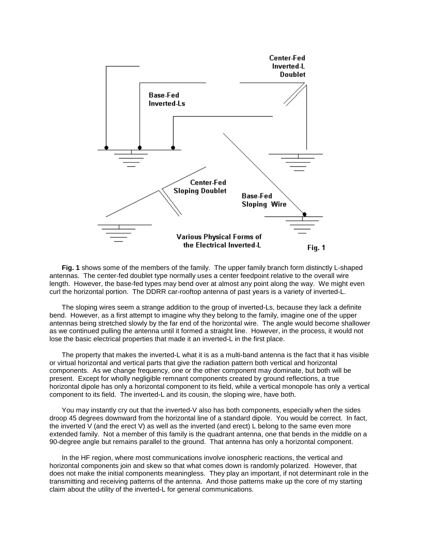

**Fig. 1** shows some of the members of the family. The upper family branch form distinctly L-shaped antennas. The center-fed doublet type normally uses a center feedpoint relative to the overall wire length. However, the base-fed types may bend over at almost any point along the way. We might even curl the horizontal portion. The DDRR car-rooftop antenna of past years is a variety of inverted-L.

The sloping wires seem a strange addition to the group of inverted-Ls, because they lack a definite bend. However, as a first attempt to imagine why they belong to the family, imagine one of the upper antennas being stretched slowly by the far end of the horizontal wire. The angle would become shallower as we continued pulling the antenna until it formed a straight line. However, in the process, it would not lose the basic electrical properties that made it an inverted-L in the first place.

The property that makes the inverted-L what it is as a multi-band antenna is the fact that it has visible or virtual horizontal and vertical parts that give the radiation pattern both vertical and horizontal components. As we change frequency, one or the other component may dominate, but both will be present. Except for wholly negligible remnant components created by ground reflections, a true horizontal dipole has only a horizontal component to its field, while a vertical monopole has only a vertical component to its field. The inverted-L and its cousin, the sloping wire, have both.

You may instantly cry out that the inverted-V also has both components, especially when the sides droop 45 degrees downward from the horizontal line of a standard dipole. You would be correct. In fact, the inverted V (and the erect V) as well as the inverted (and erect) L belong to the same even more extended family. Not a member of this family is the quadrant antenna, one that bends in the middle on a 90-degree angle but remains parallel to the ground. That antenna has only a horizontal component.

In the HF region, where most communications involve ionospheric reactions, the vertical and horizontal components join and skew so that what comes down is randomly polarized. However, that does not make the initial components meaningless. They play an important, if not determinant role in the transmitting and receiving patterns of the antenna. And those patterns make up the core of my starting claim about the utility of the inverted-L for general communications.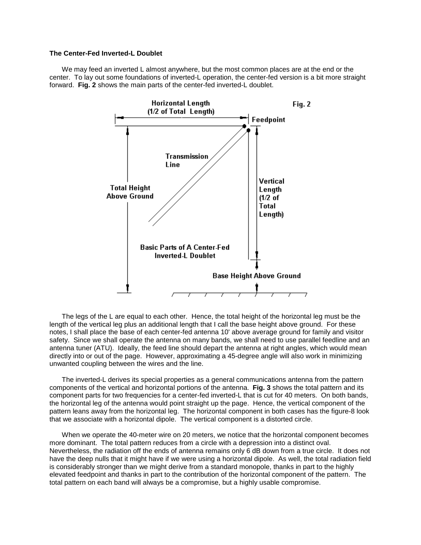# **The Center-Fed Inverted-L Doublet**

We may feed an inverted L almost anywhere, but the most common places are at the end or the center. To lay out some foundations of inverted-L operation, the center-fed version is a bit more straight forward. **Fig. 2** shows the main parts of the center-fed inverted-L doublet.



The legs of the L are equal to each other. Hence, the total height of the horizontal leg must be the length of the vertical leg plus an additional length that I call the base height above ground. For these notes, I shall place the base of each center-fed antenna 10' above average ground for family and visitor safety. Since we shall operate the antenna on many bands, we shall need to use parallel feedline and an antenna tuner (ATU). Ideally, the feed line should depart the antenna at right angles, which would mean directly into or out of the page. However, approximating a 45-degree angle will also work in minimizing unwanted coupling between the wires and the line.

The inverted-L derives its special properties as a general communications antenna from the pattern components of the vertical and horizontal portions of the antenna. **Fig. 3** shows the total pattern and its component parts for two frequencies for a center-fed inverted-L that is cut for 40 meters. On both bands, the horizontal leg of the antenna would point straight up the page. Hence, the vertical component of the pattern leans away from the horizontal leg. The horizontal component in both cases has the figure-8 look that we associate with a horizontal dipole. The vertical component is a distorted circle.

When we operate the 40-meter wire on 20 meters, we notice that the horizontal component becomes more dominant. The total pattern reduces from a circle with a depression into a distinct oval. Nevertheless, the radiation off the ends of antenna remains only 6 dB down from a true circle. It does not have the deep nulls that it might have if we were using a horizontal dipole. As well, the total radiation field is considerably stronger than we might derive from a standard monopole, thanks in part to the highly elevated feedpoint and thanks in part to the contribution of the horizontal component of the pattern. The total pattern on each band will always be a compromise, but a highly usable compromise.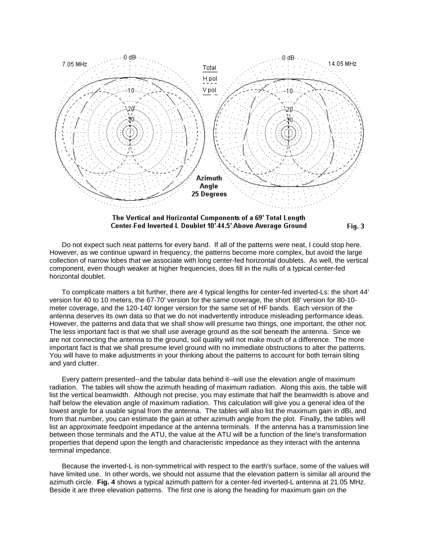

The Vertical and Horizontal Components of a 69' Total Length Center-Fed Inverted-L Doublet 10'-44.5' Above Average Ground  $Fig. 3$ 

Do not expect such neat patterns for every band. If all of the patterns were neat, I could stop here. However, as we continue upward in frequency, the patterns become more complex, but avoid the large collection of narrow lobes that we associate with long center-fed horizontal doublets. As well, the vertical component, even though weaker at higher frequencies, does fill in the nulls of a typical center-fed horizontal doublet.

To complicate matters a bit further, there are 4 typical lengths for center-fed inverted-Ls: the short 44' version for 40 to 10 meters, the 67-70' version for the same coverage, the short 88' version for 80-10 meter coverage, and the 120-140' longer version for the same set of HF bands. Each version of the antenna deserves its own data so that we do not inadvertently introduce misleading performance ideas. However, the patterns and data that we shall show will presume two things, one important, the other not. The less important fact is that we shall use average ground as the soil beneath the antenna. Since we are not connecting the antenna to the ground, soil quality will not make much of a difference. The more important fact is that we shall presume level ground with no immediate obstructions to alter the patterns. You will have to make adjustments in your thinking about the patterns to account for both terrain tilting and yard clutter.

Every pattern presented--and the tabular data behind it--will use the elevation angle of maximum radiation. The tables will show the azimuth heading of maximum radiation. Along this axis, the table will list the vertical beamwidth. Although not precise, you may estimate that half the beamwidth is above and half below the elevation angle of maximum radiation. This calculation will give you a general idea of the lowest angle for a usable signal from the antenna. The tables will also list the maximum gain in dBi, and from that number, you can estimate the gain at other azimuth angle from the plot. Finally, the tables will list an approximate feedpoint impedance at the antenna terminals. If the antenna has a transmission line between those terminals and the ATU, the value at the ATU will be a function of the line's transformation properties that depend upon the length and characteristic impedance as they interact with the antenna terminal impedance.

Because the inverted-L is non-symmetrical with respect to the earth's surface, some of the values will have limited use. In other words, we should not assume that the elevation pattern is similar all around the azimuth circle. **Fig. 4** shows a typical azimuth pattern for a center-fed inverted-L antenna at 21.05 MHz. Beside it are three elevation patterns. The first one is along the heading for maximum gain on the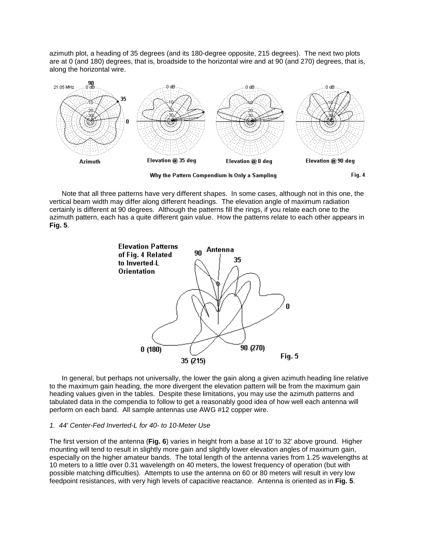azimuth plot, a heading of 35 degrees (and its 180-degree opposite, 215 degrees). The next two plots are at 0 (and 180) degrees, that is, broadside to the horizontal wire and at 90 (and 270) degrees, that is, along the horizontal wire.



Note that all three patterns have very different shapes. In some cases, although not in this one, the vertical beam width may differ along different headings. The elevation angle of maximum radiation certainly is different at 90 degrees. Although the patterns fill the rings, if you relate each one to the azimuth pattern, each has a quite different gain value. How the patterns relate to each other appears in **Fig. 5**.



In general, but perhaps not universally, the lower the gain along a given azimuth heading line relative to the maximum gain heading, the more divergent the elevation pattern will be from the maximum gain heading values given in the tables. Despite these limitations, you may use the azimuth patterns and tabulated data in the compendia to follow to get a reasonably good idea of how well each antenna will perform on each band. All sample antennas use AWG #12 copper wire.

## *1. 44' Center-Fed Inverted-L for 40- to 10-Meter Use*

The first version of the antenna (**Fig. 6**) varies in height from a base at 10' to 32' above ground. Higher mounting will tend to result in slightly more gain and slightly lower elevation angles of maximum gain, especially on the higher amateur bands. The total length of the antenna varies from 1.25 wavelengths at 10 meters to a little over 0.31 wavelength on 40 meters, the lowest frequency of operation (but with possible matching difficulties). Attempts to use the antenna on 60 or 80 meters will result in very low feedpoint resistances, with very high levels of capacitive reactance. Antenna is oriented as in **Fig. 5**.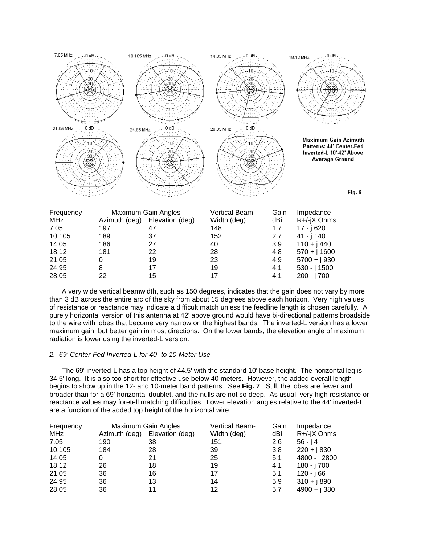

A very wide vertical beamwidth, such as 150 degrees, indicates that the gain does not vary by more than 3 dB across the entire arc of the sky from about 15 degrees above each horizon. Very high values of resistance or reactance may indicate a difficult match unless the feedline length is chosen carefully. A purely horizontal version of this antenna at 42' above ground would have bi-directional patterns broadside to the wire with lobes that become very narrow on the highest bands. The inverted-L version has a lower maximum gain, but better gain in most directions. On the lower bands, the elevation angle of maximum radiation is lower using the inverted-L version.

### *2. 69' Center-Fed Inverted-L for 40- to 10-Meter Use*

The 69' inverted-L has a top height of 44.5' with the standard 10' base height. The horizontal leg is 34.5' long. It is also too short for effective use below 40 meters. However, the added overall length begins to show up in the 12- and 10-meter band patterns. See **Fig. 7**. Still, the lobes are fewer and broader than for a 69' horizontal doublet, and the nulls are not so deep. As usual, very high resistance or reactance values may foretell matching difficulties. Lower elevation angles relative to the 44' inverted-L are a function of the added top height of the horizontal wire.

| Frequency |               | Maximum Gain Angles | Vertical Beam- | Gain | Impedance      |
|-----------|---------------|---------------------|----------------|------|----------------|
| MHz       | Azimuth (deg) | Elevation (deg)     | Width (deg)    | dBi  | R+/-jX Ohms    |
| 7.05      | 190           | 38                  | 151            | 2.6  | $56 - j4$      |
| 10.105    | 184           | 28                  | 39             | 3.8  | $220 + j830$   |
| 14.05     | 0             | 21                  | 25             | 5.1  | 4800 - j 2800  |
| 18.12     | 26            | 18                  | 19             | 4.1  | 180 - j 700    |
| 21.05     | 36            | 16                  | 17             | 5.1  | 120 - j 66     |
| 24.95     | 36            | 13                  | 14             | 5.9  | $310 + j890$   |
| 28.05     | 36            | 11                  | 12             | 5.7  | $4900 + j 380$ |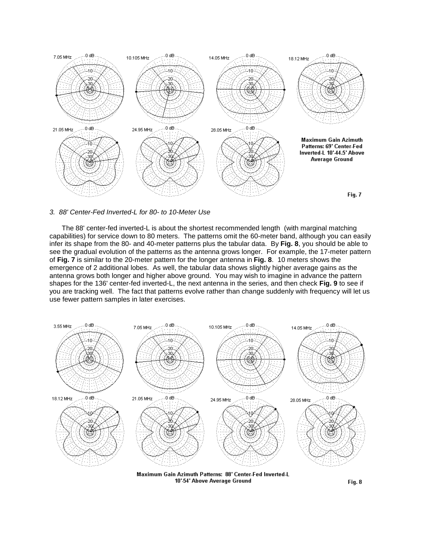

*3. 88' Center-Fed Inverted-L for 80- to 10-Meter Use*

The 88' center-fed inverted-L is about the shortest recommended length (with marginal matching capabilities) for service down to 80 meters. The patterns omit the 60-meter band, although you can easily infer its shape from the 80- and 40-meter patterns plus the tabular data. By **Fig. 8**, you should be able to see the gradual evolution of the patterns as the antenna grows longer. For example, the 17-meter pattern of **Fig. 7** is similar to the 20-meter pattern for the longer antenna in **Fig. 8**. 10 meters shows the emergence of 2 additional lobes. As well, the tabular data shows slightly higher average gains as the antenna grows both longer and higher above ground. You may wish to imagine in advance the pattern shapes for the 136' center-fed inverted-L, the next antenna in the series, and then check **Fig. 9** to see if you are tracking well. The fact that patterns evolve rather than change suddenly with frequency will let us use fewer pattern samples in later exercises.



Maximum Gain Azimuth Patterns: 88' Center-Fed Inverted-L 10'-54' Above Average Ground

Fig. 8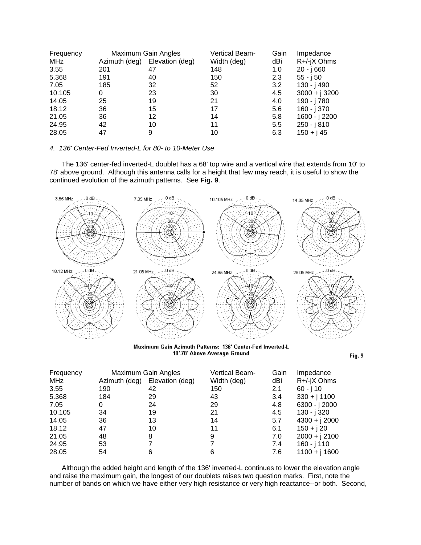| Frequency  | Maximum Gain Angles |                 | Vertical Beam- | Gain | Impedance       |
|------------|---------------------|-----------------|----------------|------|-----------------|
| <b>MHz</b> | Azimuth (deg)       | Elevation (deg) | Width (deg)    | dBi  | R+/-jX Ohms     |
| 3.55       | 201                 | 47              | 148            | 1.0  | 20 - i 660      |
| 5.368      | 191                 | 40              | 150            | 2.3  | 55 - j 50       |
| 7.05       | 185                 | 32              | 52             | 3.2  | 130 - j 490     |
| 10.105     | 0                   | 23              | 30             | 4.5  | $3000 + j 3200$ |
| 14.05      | 25                  | 19              | 21             | 4.0  | 190 - j 780     |
| 18.12      | 36                  | 15              | 17             | 5.6  | $160 - j 370$   |
| 21.05      | 36                  | 12              | 14             | 5.8  | 1600 - j 2200   |
| 24.95      | 42                  | 10              | 11             | 5.5  | $250 - j810$    |
| 28.05      | 47                  | 9               | 10             | 6.3  | $150 + j45$     |

# *4. 136' Center-Fed Inverted-L for 80- to 10-Meter Use*

The 136' center-fed inverted-L doublet has a 68' top wire and a vertical wire that extends from 10' to 78' above ground. Although this antenna calls for a height that few may reach, it is useful to show the continued evolution of the azimuth patterns. See **Fig. 9**.



Maximum Gain Azimuth Patterns: 136' Center-Fed Inverted-L 10'-78' Above Average Ground

Fig. 9

| Frequency  | Maximum Gain Angles |                 | Vertical Beam- | Gain | Impedance       |
|------------|---------------------|-----------------|----------------|------|-----------------|
| <b>MHz</b> | Azimuth (deg)       | Elevation (deg) | Width (deg)    | dBi  | R+/-jX Ohms     |
| 3.55       | 190                 | 42              | 150            | 2.1  | $60 - j 10$     |
| 5.368      | 184                 | 29              | 43             | 3.4  | $330 + j 1100$  |
| 7.05       | 0                   | 24              | 29             | 4.8  | 6300 - j 2000   |
| 10.105     | 34                  | 19              | 21             | 4.5  | 130 - j 320     |
| 14.05      | 36                  | 13              | 14             | 5.7  | $4300 + j2000$  |
| 18.12      | 47                  | 10              | 11             | 6.1  | $150 + j20$     |
| 21.05      | 48                  | 8               | 9              | 7.0  | $2000 + j 2100$ |
| 24.95      | 53                  |                 | 7              | 7.4  | 160 - j 110     |
| 28.05      | 54                  | 6               | 6              | 7.6  | $1100 + i 1600$ |

Although the added height and length of the 136' inverted-L continues to lower the elevation angle and raise the maximum gain, the longest of our doublets raises two question marks. First, note the number of bands on which we have either very high resistance or very high reactance--or both. Second,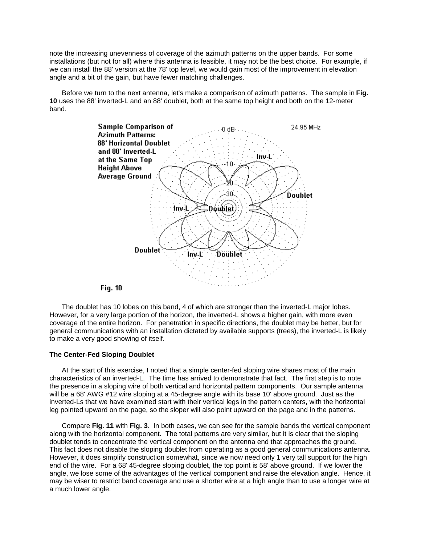note the increasing unevenness of coverage of the azimuth patterns on the upper bands. For some installations (but not for all) where this antenna is feasible, it may not be the best choice. For example, if we can install the 88' version at the 78' top level, we would gain most of the improvement in elevation angle and a bit of the gain, but have fewer matching challenges.

Before we turn to the next antenna, let's make a comparison of azimuth patterns. The sample in **Fig. 10** uses the 88' inverted-L and an 88' doublet, both at the same top height and both on the 12-meter band.



# **Fig. 10**

The doublet has 10 lobes on this band, 4 of which are stronger than the inverted-L major lobes. However, for a very large portion of the horizon, the inverted-L shows a higher gain, with more even coverage of the entire horizon. For penetration in specific directions, the doublet may be better, but for general communications with an installation dictated by available supports (trees), the inverted-L is likely to make a very good showing of itself.

# **The Center-Fed Sloping Doublet**

At the start of this exercise, I noted that a simple center-fed sloping wire shares most of the main characteristics of an inverted-L. The time has arrived to demonstrate that fact. The first step is to note the presence in a sloping wire of both vertical and horizontal pattern components. Our sample antenna will be a 68' AWG #12 wire sloping at a 45-degree angle with its base 10' above ground. Just as the inverted-Ls that we have examined start with their vertical legs in the pattern centers, with the horizontal leg pointed upward on the page, so the sloper will also point upward on the page and in the patterns.

Compare **Fig. 11** with **Fig. 3**. In both cases, we can see for the sample bands the vertical component along with the horizontal component. The total patterns are very similar, but it is clear that the sloping doublet tends to concentrate the vertical component on the antenna end that approaches the ground. This fact does not disable the sloping doublet from operating as a good general communications antenna. However, it does simplify construction somewhat, since we now need only 1 very tall support for the high end of the wire. For a 68' 45-degree sloping doublet, the top point is 58' above ground. If we lower the angle, we lose some of the advantages of the vertical component and raise the elevation angle. Hence, it may be wiser to restrict band coverage and use a shorter wire at a high angle than to use a longer wire at a much lower angle.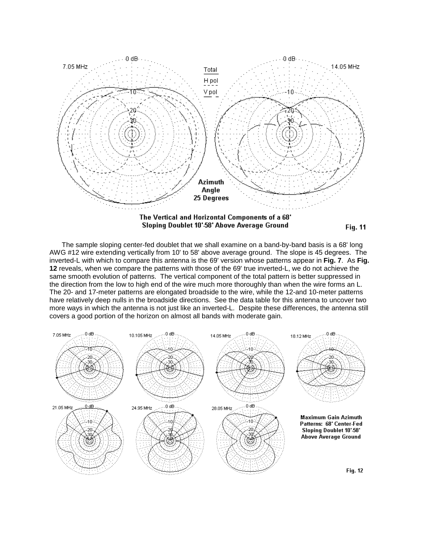

**Fig. 11** 

The sample sloping center-fed doublet that we shall examine on a band-by-band basis is a 68' long AWG #12 wire extending vertically from 10' to 58' above average ground. The slope is 45 degrees. The inverted-L with which to compare this antenna is the 69' version whose patterns appear in **Fig. 7**. As **Fig. 12** reveals, when we compare the patterns with those of the 69' true inverted-L, we do not achieve the same smooth evolution of patterns. The vertical component of the total pattern is better suppressed in the direction from the low to high end of the wire much more thoroughly than when the wire forms an L. The 20- and 17-meter patterns are elongated broadside to the wire, while the 12-and 10-meter patterns have relatively deep nulls in the broadside directions. See the data table for this antenna to uncover two more ways in which the antenna is not just like an inverted-L. Despite these differences, the antenna still covers a good portion of the horizon on almost all bands with moderate gain.

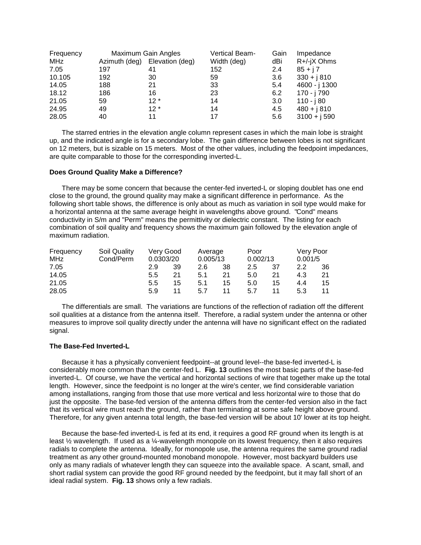| Frequency | Maximum Gain Angles |                 | Vertical Beam- | Gain | Impedance     |
|-----------|---------------------|-----------------|----------------|------|---------------|
| MHz       | Azimuth (deg)       | Elevation (deg) | Width (deg)    | dBi  | R+/-jX Ohms   |
| 7.05      | 197                 | 41              | 152            | 2.4  | $85 + j7$     |
| 10.105    | 192                 | 30              | 59             | 3.6  | $330 + j810$  |
| 14.05     | 188                 | 21              | 33             | 5.4  | 4600 - j 1300 |
| 18.12     | 186                 | 16              | 23             | 6.2  | 170 - j 790   |
| 21.05     | 59                  | $12*$           | 14             | 3.0  | 110 - j 80    |
| 24.95     | 49                  | $12*$           | 14             | 4.5  | $480 + j810$  |
| 28.05     | 40                  | 11              | 17             | 5.6  | $3100 + j590$ |

The starred entries in the elevation angle column represent cases in which the main lobe is straight up, and the indicated angle is for a secondary lobe. The gain difference between lobes is not significant on 12 meters, but is sizable on 15 meters. Most of the other values, including the feedpoint impedances, are quite comparable to those for the corresponding inverted-L.

# **Does Ground Quality Make a Difference?**

There may be some concern that because the center-fed inverted-L or sloping doublet has one end close to the ground, the ground quality may make a significant difference in performance. As the following short table shows, the difference is only about as much as variation in soil type would make for a horizontal antenna at the same average height in wavelengths above ground. "Cond" means conductivity in S/m and "Perm" means the permittivity or dielectric constant. The listing for each combination of soil quality and frequency shows the maximum gain followed by the elevation angle of maximum radiation.

| Frequency  | Soil Quality |           | Very Good | Average  |    | Poor     |    | Very Poor |    |
|------------|--------------|-----------|-----------|----------|----|----------|----|-----------|----|
| <b>MHz</b> | Cond/Perm    | 0.0303/20 |           | 0.005/13 |    | 0.002/13 |    | 0.001/5   |    |
| 7.05       |              | 2.9       | 39        | 2.6      | 38 | 2.5      | 37 | 2.2       | 36 |
| 14.05      |              | 5.5       | 21        | 5.1      | 21 | 5.0      | 21 | 4.3       | 21 |
| 21.05      |              | 5.5       | 15        | 5.1      | 15 | 5.0      | 15 | 4.4       | 15 |
| 28.05      |              | 5.9       | 11        | 5.7      | 11 | 5.7      | 11 | 5.3       | 11 |

The differentials are small. The variations are functions of the reflection of radiation off the different soil qualities at a distance from the antenna itself. Therefore, a radial system under the antenna or other measures to improve soil quality directly under the antenna will have no significant effect on the radiated signal.

### **The Base-Fed Inverted-L**

Because it has a physically convenient feedpoint--at ground level--the base-fed inverted-L is considerably more common than the center-fed L. **Fig. 13** outlines the most basic parts of the base-fed inverted-L. Of course, we have the vertical and horizontal sections of wire that together make up the total length. However, since the feedpoint is no longer at the wire's center, we find considerable variation among installations, ranging from those that use more vertical and less horizontal wire to those that do just the opposite. The base-fed version of the antenna differs from the center-fed version also in the fact that its vertical wire must reach the ground, rather than terminating at some safe height above ground. Therefore, for any given antenna total length, the base-fed version will be about 10' lower at its top height.

Because the base-fed inverted-L is fed at its end, it requires a good RF ground when its length is at least  $\frac{1}{2}$  wavelength. If used as a  $\frac{1}{4}$ -wavelength monopole on its lowest frequency, then it also requires radials to complete the antenna. Ideally, for monopole use, the antenna requires the same ground radial treatment as any other ground-mounted monoband monopole. However, most backyard builders use only as many radials of whatever length they can squeeze into the available space. A scant, small, and short radial system can provide the good RF ground needed by the feedpoint, but it may fall short of an ideal radial system. **Fig. 13** shows only a few radials.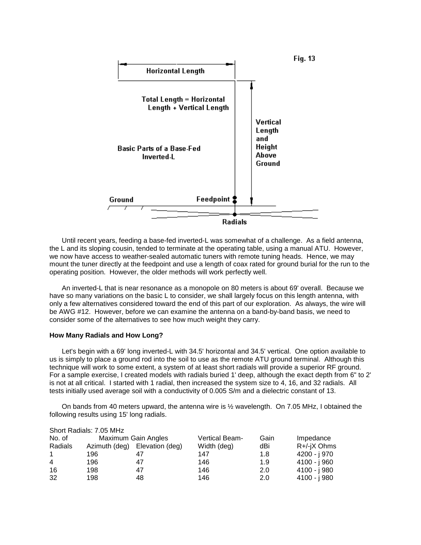

Until recent years, feeding a base-fed inverted-L was somewhat of a challenge. As a field antenna, the L and its sloping cousin, tended to terminate at the operating table, using a manual ATU. However, we now have access to weather-sealed automatic tuners with remote tuning heads. Hence, we may mount the tuner directly at the feedpoint and use a length of coax rated for ground burial for the run to the operating position. However, the older methods will work perfectly well.

An inverted-L that is near resonance as a monopole on 80 meters is about 69' overall. Because we have so many variations on the basic L to consider, we shall largely focus on this length antenna, with only a few alternatives considered toward the end of this part of our exploration. As always, the wire will be AWG #12. However, before we can examine the antenna on a band-by-band basis, we need to consider some of the alternatives to see how much weight they carry.

#### **How Many Radials and How Long?**

Let's begin with a 69' long inverted-L with 34.5' horizontal and 34.5' vertical. One option available to us is simply to place a ground rod into the soil to use as the remote ATU ground terminal. Although this technique will work to some extent, a system of at least short radials will provide a superior RF ground. For a sample exercise, I created models with radials buried 1' deep, although the exact depth from 6" to 2' is not at all critical. I started with 1 radial, then increased the system size to 4, 16, and 32 radials. All tests initially used average soil with a conductivity of 0.005 S/m and a dielectric constant of 13.

On bands from 40 meters upward, the antenna wire is ½ wavelength. On 7.05 MHz, I obtained the following results using 15' long radials.

|         | Short Radials: 7.05 MHz |                     |                |      |              |
|---------|-------------------------|---------------------|----------------|------|--------------|
| No. of  |                         | Maximum Gain Angles | Vertical Beam- | Gain | Impedance    |
| Radials | Azimuth (deg)           | Elevation (deg)     | Width (deg)    | dBi  | R+/-jX Ohms  |
|         | 196                     |                     | 147            | 1.8  | 4200 - j 970 |
| 4       | 196                     | 47                  | 146            | 1.9  | 4100 - j 960 |
| 16      | 198                     | 47                  | 146            | 2.0  | 4100 - i 980 |
| 32      | 198                     | 48                  | 146            | 2.0  | 4100 - j 980 |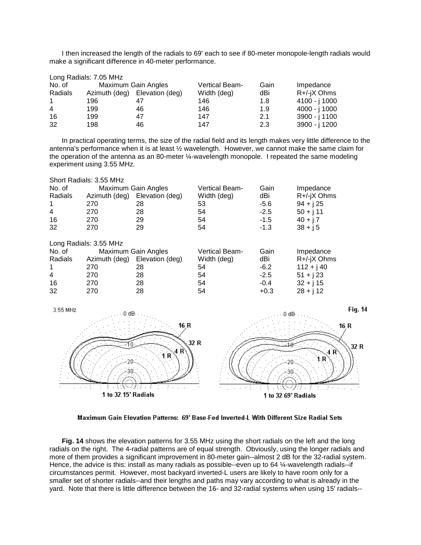I then increased the length of the radials to 69' each to see if 80-meter monopole-length radials would make a significant difference in 40-meter performance.

|         | Long Radials: 7.05 MHz |                               |                |      |               |
|---------|------------------------|-------------------------------|----------------|------|---------------|
| No. of  |                        | Maximum Gain Angles           | Vertical Beam- | Gain | Impedance     |
| Radials |                        | Azimuth (deg) Elevation (deg) | Width (deg)    | dBi  | R+/-jX Ohms   |
|         | 196                    |                               | 146            | 1.8  | 4100 - j 1000 |
| 4       | 199                    | 46                            | 146            | 1.9  | 4000 - j 1000 |
| 16      | 199                    | 47                            | 147            | 2.1  | 3900 - j 1100 |
| 32      | 198                    | 46                            | 147            | 2.3  | 3900 - j 1200 |

In practical operating terms, the size of the radial field and its length makes very little difference to the antenna's performance when it is at least ½ wavelength. However, we cannot make the same claim for the operation of the antenna as an 80-meter ¼-wavelength monopole. I repeated the same modeling experiment using 3.55 MHz.

| Short Radials: 3.55 MHz |                        |                     |                       |        |             |  |  |  |  |
|-------------------------|------------------------|---------------------|-----------------------|--------|-------------|--|--|--|--|
| No. of                  |                        | Maximum Gain Angles | <b>Vertical Beam-</b> | Gain   | Impedance   |  |  |  |  |
| Radials                 | Azimuth (deg)          | Elevation (deg)     | Width (deg)           | dBi    | R+/-jX Ohms |  |  |  |  |
| $\mathbf 1$             | 270                    | 28                  | 53                    | $-5.6$ | $94 + j25$  |  |  |  |  |
| $\overline{4}$          | 270                    | 28                  | 54                    | $-2.5$ | $50 + j11$  |  |  |  |  |
| 16                      | 270                    | 29                  | 54                    | $-1.5$ | $40 + j7$   |  |  |  |  |
| 32                      | 270                    | 29                  | 54                    | $-1.3$ | $38 + j5$   |  |  |  |  |
|                         | Long Radials: 3.55 MHz |                     |                       |        |             |  |  |  |  |
| No. of                  |                        | Maximum Gain Angles | <b>Vertical Beam-</b> | Gain   | Impedance   |  |  |  |  |
| Radials                 | Azimuth (deg)          | Elevation (deg)     | Width (deg)           | dBi    | R+/-jX Ohms |  |  |  |  |
| -1                      | 270                    | 28                  | 54                    | $-6.2$ | $112 + j40$ |  |  |  |  |
| 4                       | 270                    | 28                  | 54                    | $-2.5$ | $51 + j23$  |  |  |  |  |
| 16                      | 270                    | 28                  | 54                    | $-0.4$ | $32 + j$ 15 |  |  |  |  |
| 32                      | 270                    | 28                  | 54                    | $+0.3$ | $28 + j12$  |  |  |  |  |



Maximum Gain Elevation Patterns: 69' Base-Fed Inverted-L With Different Size Radial Sets

**Fig. 14** shows the elevation patterns for 3.55 MHz using the short radials on the left and the long radials on the right. The 4-radial patterns are of equal strength. Obviously, using the longer radials and more of them provides a significant improvement in 80-meter gain--almost 2 dB for the 32-radial system. Hence, the advice is this: install as many radials as possible--even up to 64 ¼-wavelength radials--if circumstances permit. However, most backyard inverted-L users are likely to have room only for a smaller set of shorter radials--and their lengths and paths may vary according to what is already in the yard. Note that there is little difference between the 16- and 32-radial systems when using 15' radials--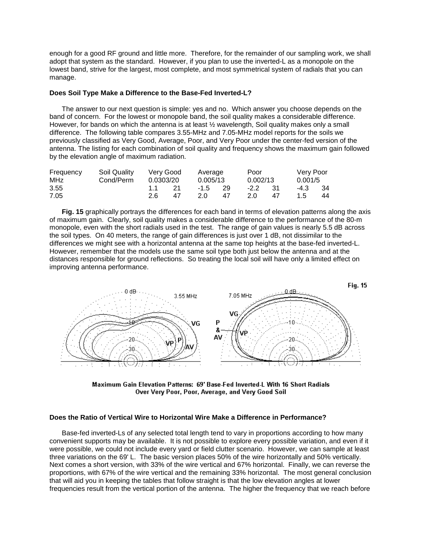enough for a good RF ground and little more. Therefore, for the remainder of our sampling work, we shall adopt that system as the standard. However, if you plan to use the inverted-L as a monopole on the lowest band, strive for the largest, most complete, and most symmetrical system of radials that you can manage.

# **Does Soil Type Make a Difference to the Base-Fed Inverted-L?**

The answer to our next question is simple: yes and no. Which answer you choose depends on the band of concern. For the lowest or monopole band, the soil quality makes a considerable difference. However, for bands on which the antenna is at least ½ wavelength, Soil quality makes only a small difference. The following table compares 3.55-MHz and 7.05-MHz model reports for the soils we previously classified as Very Good, Average, Poor, and Very Poor under the center-fed version of the antenna. The listing for each combination of soil quality and frequency shows the maximum gain followed by the elevation angle of maximum radiation.

| Frequency | Soil Quality | Verv Good |     | Average  |    | Poor      |     | Very Poor |      |
|-----------|--------------|-----------|-----|----------|----|-----------|-----|-----------|------|
| MHz       | Cond/Perm    | 0.0303/20 |     | 0.005/13 |    | 0.002/13  |     | 0.001/5   |      |
| 3.55      |              | 11        | 21  | -1.5 29  |    | $-2.2$ 31 |     | -4.3      | - 34 |
| 7.05      |              | 2.6       | -47 | 20.      | 47 | 2.0       | -47 | 1.5       | 44   |

**Fig. 15** graphically portrays the differences for each band in terms of elevation patterns along the axis of maximum gain. Clearly, soil quality makes a considerable difference to the performance of the 80-m monopole, even with the short radials used in the test. The range of gain values is nearly 5.5 dB across the soil types. On 40 meters, the range of gain differences is just over 1 dB, not dissimilar to the differences we might see with a horizontal antenna at the same top heights at the base-fed inverted-L. However, remember that the models use the same soil type both just below the antenna and at the distances responsible for ground reflections. So treating the local soil will have only a limited effect on improving antenna performance.



Maximum Gain Elevation Patterns: 69' Base-Fed Inverted-L With 16 Short Radials Over Very Poor, Poor, Average, and Very Good Soil

# **Does the Ratio of Vertical Wire to Horizontal Wire Make a Difference in Performance?**

Base-fed inverted-Ls of any selected total length tend to vary in proportions according to how many convenient supports may be available. It is not possible to explore every possible variation, and even if it were possible, we could not include every yard or field clutter scenario. However, we can sample at least three variations on the 69' L. The basic version places 50% of the wire horizontally and 50% vertically. Next comes a short version, with 33% of the wire vertical and 67% horizontal. Finally, we can reverse the proportions, with 67% of the wire vertical and the remaining 33% horizontal. The most general conclusion that will aid you in keeping the tables that follow straight is that the low elevation angles at lower frequencies result from the vertical portion of the antenna. The higher the frequency that we reach before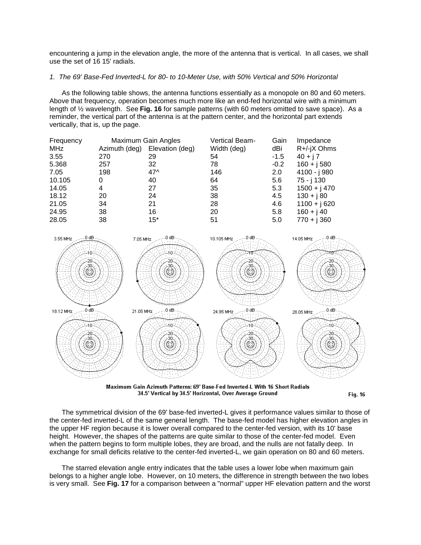encountering a jump in the elevation angle, the more of the antenna that is vertical. In all cases, we shall use the set of 16 15' radials.

## *1. The 69' Base-Fed Inverted-L for 80- to 10-Meter Use, with 50% Vertical and 50% Horizontal*

As the following table shows, the antenna functions essentially as a monopole on 80 and 60 meters. Above that frequency, operation becomes much more like an end-fed horizontal wire with a minimum length of ½ wavelength. See **Fig. 16** for sample patterns (with 60 meters omitted to save space). As a reminder, the vertical part of the antenna is at the pattern center, and the horizontal part extends vertically, that is, up the page.

| Frequency | Maximum Gain Angles |                 | <b>Vertical Beam-</b> | Gain   | Impedance     |
|-----------|---------------------|-----------------|-----------------------|--------|---------------|
| MHz       | Azimuth (deg)       | Elevation (deg) | Width (deg)           | dBi    | R+/-jX Ohms   |
| 3.55      | 270                 | 29              | 54                    | $-1.5$ | $40 + j7$     |
| 5.368     | 257                 | 32              | 78                    | $-0.2$ | $160 + j 580$ |
| 7.05      | 198                 | $47^$           | 146                   | 2.0    | 4100 - j 980  |
| 10.105    | 0                   | 40              | 64                    | 5.6    | 75 - j 130    |
| 14.05     | 4                   | 27              | 35                    | 5.3    | $1500 + j470$ |
| 18.12     | 20                  | 24              | 38                    | 4.5    | $130 + j80$   |
| 21.05     | 34                  | 21              | 28                    | 4.6    | $1100 + j620$ |
| 24.95     | 38                  | 16              | 20                    | 5.8    | $160 + j40$   |
| 28.05     | 38                  | $15*$           | 51                    | 5.0    | $770 + j 360$ |



Maximum Gain Azimuth Patterns: 69' Base-Fed Inverted-L With 16 Short Radials 34.5' Vertical by 34.5' Horizontal, Over Average Ground

**Fig. 16** 

The symmetrical division of the 69' base-fed inverted-L gives it performance values similar to those of the center-fed inverted-L of the same general length. The base-fed model has higher elevation angles in the upper HF region because it is lower overall compared to the center-fed version, with its 10' base height. However, the shapes of the patterns are quite similar to those of the center-fed model. Even when the pattern begins to form multiple lobes, they are broad, and the nulls are not fatally deep. In exchange for small deficits relative to the center-fed inverted-L, we gain operation on 80 and 60 meters.

The starred elevation angle entry indicates that the table uses a lower lobe when maximum gain belongs to a higher angle lobe. However, on 10 meters, the difference in strength between the two lobes is very small. See **Fig. 17** for a comparison between a "normal" upper HF elevation pattern and the worst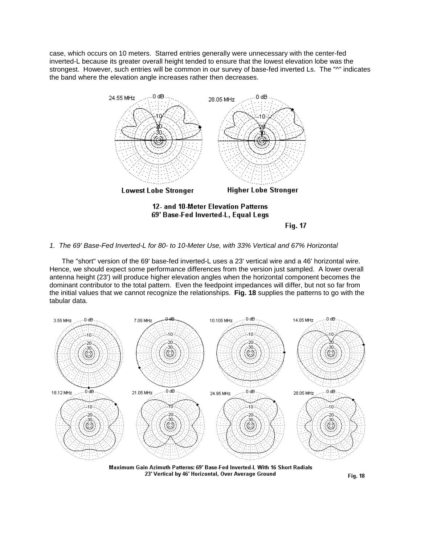case, which occurs on 10 meters. Starred entries generally were unnecessary with the center-fed inverted-L because its greater overall height tended to ensure that the lowest elevation lobe was the strongest. However, such entries will be common in our survey of base-fed inverted Ls. The "^" indicates the band where the elevation angle increases rather then decreases.



Fig. 17

# *1. The 69' Base-Fed Inverted-L for 80- to 10-Meter Use, with 33% Vertical and 67% Horizontal*

The "short" version of the 69' base-fed inverted-L uses a 23' vertical wire and a 46' horizontal wire. Hence, we should expect some performance differences from the version just sampled. A lower overall antenna height (23') will produce higher elevation angles when the horizontal component becomes the dominant contributor to the total pattern. Even the feedpoint impedances will differ, but not so far from the initial values that we cannot recognize the relationships. **Fig. 18** supplies the patterns to go with the tabular data.



Maximum Gain Azimuth Patterns: 69' Base-Fed Inverted-L With 16 Short Radials 23' Vertical by 46' Horizontal, Over Average Ground

**Fig. 18**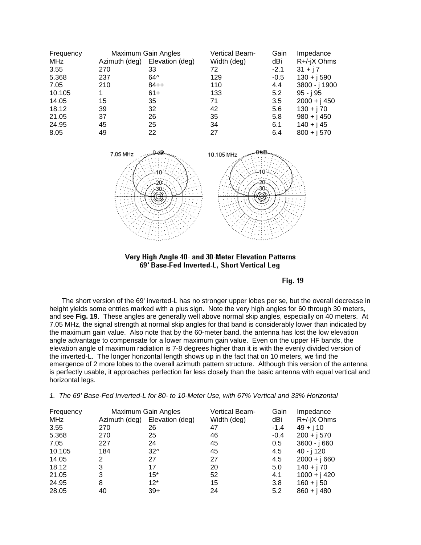| Frequency  | Maximum Gain Angles |                 | <b>Vertical Beam-</b> | Gain   | Impedance      |
|------------|---------------------|-----------------|-----------------------|--------|----------------|
| <b>MHz</b> | Azimuth (deg)       | Elevation (deg) | Width (deg)           | dBi    | R+/-jX Ohms    |
| 3.55       | 270                 | 33              | 72                    | $-2.1$ | $31 + j7$      |
| 5.368      | 237                 | $64^{\circ}$    | 129                   | $-0.5$ | $130 + j590$   |
| 7.05       | 210                 | $84++$          | 110                   | 4.4    | 3800 - j 1900  |
| 10.105     |                     | $61+$           | 133                   | 5.2    | $95 - j95$     |
| 14.05      | 15                  | 35              | 71                    | 3.5    | $2000 + j 450$ |
| 18.12      | 39                  | 32              | 42                    | 5.6    | $130 + j70$    |
| 21.05      | 37                  | 26              | 35                    | 5.8    | $980 + j 450$  |
| 24.95      | 45                  | 25              | 34                    | 6.1    | $140 + j45$    |
| 8.05       | 49                  | 22              | 27                    | 6.4    | $800 + j 570$  |





Fig. 19

The short version of the 69' inverted-L has no stronger upper lobes per se, but the overall decrease in height yields some entries marked with a plus sign. Note the very high angles for 60 through 30 meters, and see **Fig. 19**. These angles are generally well above normal skip angles, especially on 40 meters. At 7.05 MHz, the signal strength at normal skip angles for that band is considerably lower than indicated by the maximum gain value. Also note that by the 60-meter band, the antenna has lost the low elevation angle advantage to compensate for a lower maximum gain value. Even on the upper HF bands, the elevation angle of maximum radiation is 7-8 degrees higher than it is with the evenly divided version of the inverted-L. The longer horizontal length shows up in the fact that on 10 meters, we find the emergence of 2 more lobes to the overall azimuth pattern structure. Although this version of the antenna is perfectly usable, it approaches perfection far less closely than the basic antenna with equal vertical and horizontal legs.

| Frequency | Maximum Gain Angles |                 | Vertical Beam- | Gain   | Impedance      |
|-----------|---------------------|-----------------|----------------|--------|----------------|
| MHz       | Azimuth (deg)       | Elevation (deg) | Width (deg)    | dBi    | $R+/ X$ Ohms   |
| 3.55      | 270                 | 26              | 47             | $-1.4$ | $49 + j 10$    |
| 5.368     | 270                 | 25              | 46             | $-0.4$ | $200 + j 570$  |
| 7.05      | 227                 | 24              | 45             | 0.5    | $3600 - j660$  |
| 10.105    | 184                 | $32^$           | 45             | 4.5    | 40 - j 120     |
| 14.05     | 2                   | 27              | 27             | 4.5    | $2000 + j660$  |
| 18.12     | 3                   | 17              | 20             | 5.0    | $140 + j70$    |
| 21.05     | 3                   | $15*$           | 52             | 4.1    | $1000 + j 420$ |
| 24.95     | 8                   | $12*$           | 15             | 3.8    | $160 + j50$    |
| 28.05     | 40                  | $39+$           | 24             | 5.2    | $860 + j480$   |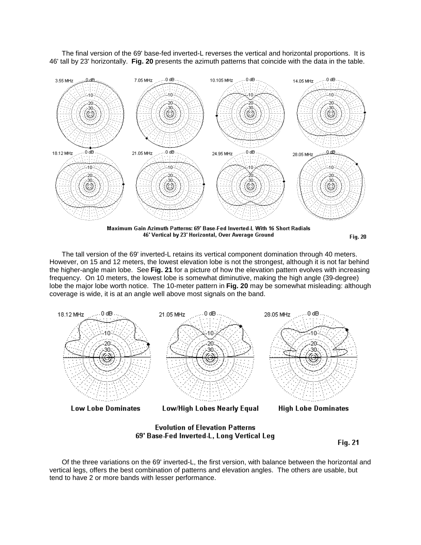The final version of the 69' base-fed inverted-L reverses the vertical and horizontal proportions. It is 46' tall by 23' horizontally. **Fig. 20** presents the azimuth patterns that coincide with the data in the table.



Maximum Gain Azimuth Patterns: 69' Base-Fed Inverted-L With 16 Short Radials 46' Vertical by 23' Horizontal, Over Average Ground

**Fig. 20** 

The tall version of the 69' inverted-L retains its vertical component domination through 40 meters. However, on 15 and 12 meters, the lowest elevation lobe is not the strongest, although it is not far behind the higher-angle main lobe. See **Fig. 21** for a picture of how the elevation pattern evolves with increasing frequency. On 10 meters, the lowest lobe is somewhat diminutive, making the high angle (39-degree) lobe the major lobe worth notice. The 10-meter pattern in **Fig. 20** may be somewhat misleading: although coverage is wide, it is at an angle well above most signals on the band.



**Fig. 21** 

Of the three variations on the 69' inverted-L, the first version, with balance between the horizontal and vertical legs, offers the best combination of patterns and elevation angles. The others are usable, but tend to have 2 or more bands with lesser performance.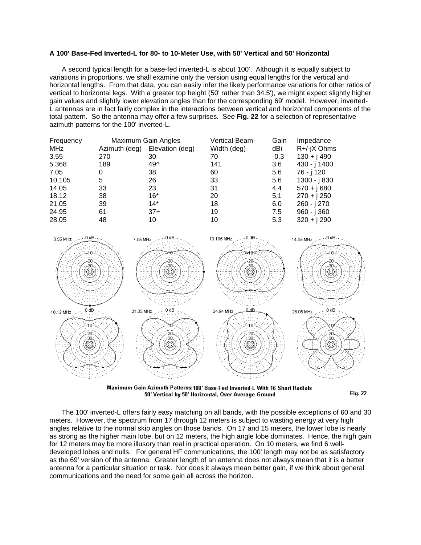# **A 100' Base-Fed Inverted-L for 80- to 10-Meter Use, with 50' Vertical and 50' Horizontal**

A second typical length for a base-fed inverted-L is about 100'. Although it is equally subject to variations in proportions, we shall examine only the version using equal lengths for the vertical and horizontal lengths. From that data, you can easily infer the likely performance variations for other ratios of vertical to horizontal legs. With a greater top height (50' rather than 34.5'), we might expect slightly higher gain values and slightly lower elevation angles than for the corresponding 69' model. However, inverted-L antennas are in fact fairly complex in the interactions between vertical and horizontal components of the total pattern. So the antenna may offer a few surprises. See **Fig. 22** for a selection of representative azimuth patterns for the 100' inverted-L.

| Frequency | Maximum Gain Angles |                 | <b>Vertical Beam-</b> | Gain   | Impedance     |
|-----------|---------------------|-----------------|-----------------------|--------|---------------|
| MHz       | Azimuth (deg)       | Elevation (deg) | Width (deg)           | dBi    | $R+/ X$ Ohms  |
| 3.55      | 270                 | 30              | 70                    | $-0.3$ | $130 + j490$  |
| 5.368     | 189                 | $49^$           | 141                   | 3.6    | 430 - j 1400  |
| 7.05      | 0                   | 38              | 60                    | 5.6    | 76 - j 120    |
| 10.105    | 5                   | 26              | 33                    | 5.6    | 1300 - j 830  |
| 14.05     | 33                  | 23              | 31                    | 4.4    | $570 + j680$  |
| 18.12     | 38                  | $16*$           | 20                    | 5.1    | $270 + j 250$ |
| 21.05     | 39                  | $14*$           | 18                    | 6.0    | 260 - j 270   |
| 24.95     | 61                  | $37+$           | 19                    | 7.5    | $960 - j360$  |
| 28.05     | 48                  | 10              | 10                    | 5.3    | $320 + j290$  |



Maximum Gain Azimuth Patterns: 100' Base-Fed Inverted-L With 16 Short Radials 50' Vertical by 50' Horizontal, Over Average Ground

**Fig. 22** 

The 100' inverted-L offers fairly easy matching on all bands, with the possible exceptions of 60 and 30 meters. However, the spectrum from 17 through 12 meters is subject to wasting energy at very high angles relative to the normal skip angles on those bands. On 17 and 15 meters, the lower lobe is nearly as strong as the higher main lobe, but on 12 meters, the high angle lobe dominates. Hence, the high gain for 12 meters may be more illusory than real in practical operation. On 10 meters, we find 6 welldeveloped lobes and nulls. For general HF communications, the 100' length may not be as satisfactory as the 69' version of the antenna. Greater length of an antenna does not always mean that it is a better antenna for a particular situation or task. Nor does it always mean better gain, if we think about general communications and the need for some gain all across the horizon.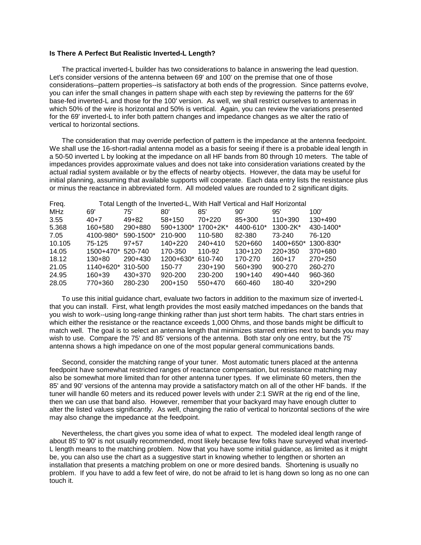## **Is There A Perfect But Realistic Inverted-L Length?**

The practical inverted-L builder has two considerations to balance in answering the lead question. Let's consider versions of the antenna between 69' and 100' on the premise that one of those considerations--pattern properties--is satisfactory at both ends of the progression. Since patterns evolve, you can infer the small changes in pattern shape with each step by reviewing the patterns for the 69' base-fed inverted-L and those for the 100' version. As well, we shall restrict ourselves to antennas in which 50% of the wire is horizontal and 50% is vertical. Again, you can review the variations presented for the 69' inverted-L to infer both pattern changes and impedance changes as we alter the ratio of vertical to horizontal sections.

The consideration that may override perfection of pattern is the impedance at the antenna feedpoint. We shall use the 16-short-radial antenna model as a basis for seeing if there is a probable ideal length in a 50-50 inverted L by looking at the impedance on all HF bands from 80 through 10 meters. The table of impedances provides approximate values and does not take into consideration variations created by the actual radial system available or by the effects of nearby objects. However, the data may be useful for initial planning, assuming that available supports will cooperate. Each data entry lists the resistance plus or minus the reactance in abbreviated form. All modeled values are rounded to 2 significant digits.

| Freq.  |            |           |            |           |           | Total Length of the Inverted-L, With Half Vertical and Half Horizontal |           |
|--------|------------|-----------|------------|-----------|-----------|------------------------------------------------------------------------|-----------|
| MHz    | 69'        | 75'       | 80'        | 85'       | 90'       | 95'                                                                    | 100'      |
| 3.55   | 40+7       | $49 + 82$ | $58 + 150$ | 70+220    | 85+300    | $110+390$                                                              | $130+490$ |
| 5.368  | 160+580    | 290+880   | 590+1300*  | 1700+2K*  | 4400-610* | 1300-2K*                                                               | 430-1400* |
| 7.05   | 4100-980*  | 590-1500* | 210-900    | 110-580   | 82-380    | 73-240                                                                 | 76-120    |
| 10.105 | 75-125     | $97 + 57$ | $140+220$  | $240+410$ | $520+660$ | 1400+650*                                                              | 1300-830* |
| 14.05  | 1500+470*  | 520-740   | 170-350    | 110-92    | $130+120$ | $220+350$                                                              | 370+680   |
| 18.12  | $130+80$   | 290+430   | 1200+630*  | 610-740   | 170-270   | $160 + 17$                                                             | $270+250$ |
| 21.05  | 1140+620*  | 310-500   | 150-77     | $230+190$ | 560+390   | 900-270                                                                | 260-270   |
| 24.95  | $160 + 39$ | 430+370   | 920-200    | 230-200   | $190+140$ | $490+440$                                                              | 960-360   |
| 28.05  | 770+360    | 280-230   | $200+150$  | 550+470   | 660-460   | 180-40                                                                 | $320+290$ |

To use this initial guidance chart, evaluate two factors in addition to the maximum size of inverted-L that you can install. First, what length provides the most easily matched impedances on the bands that you wish to work--using long-range thinking rather than just short term habits. The chart stars entries in which either the resistance or the reactance exceeds 1,000 Ohms, and those bands might be difficult to match well. The goal is to select an antenna length that minimizes starred entries next to bands you may wish to use. Compare the 75' and 85' versions of the antenna. Both star only one entry, but the 75' antenna shows a high impedance on one of the most popular general communications bands.

Second, consider the matching range of your tuner. Most automatic tuners placed at the antenna feedpoint have somewhat restricted ranges of reactance compensation, but resistance matching may also be somewhat more limited than for other antenna tuner types. If we eliminate 60 meters, then the 85' and 90' versions of the antenna may provide a satisfactory match on all of the other HF bands. If the tuner will handle 60 meters and its reduced power levels with under 2:1 SWR at the rig end of the line, then we can use that band also. However, remember that your backyard may have enough clutter to alter the listed values significantly. As well, changing the ratio of vertical to horizontal sections of the wire may also change the impedance at the feedpoint.

Nevertheless, the chart gives you some idea of what to expect. The modeled ideal length range of about 85' to 90' is not usually recommended, most likely because few folks have surveyed what inverted-L length means to the matching problem. Now that you have some initial guidance, as limited as it might be, you can also use the chart as a suggestive start in knowing whether to lengthen or shorten an installation that presents a matching problem on one or more desired bands. Shortening is usually no problem. If you have to add a few feet of wire, do not be afraid to let is hang down so long as no one can touch it.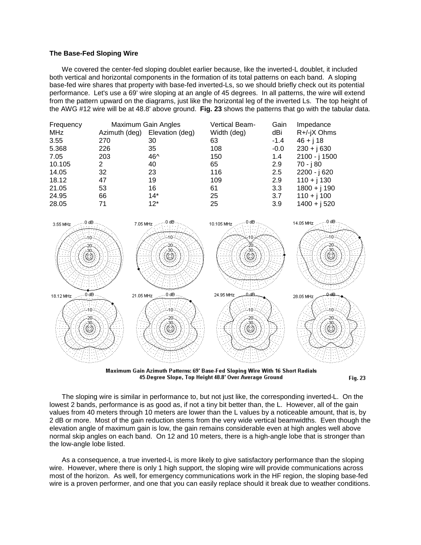# **The Base-Fed Sloping Wire**

We covered the center-fed sloping doublet earlier because, like the inverted-L doublet, it included both vertical and horizontal components in the formation of its total patterns on each band. A sloping base-fed wire shares that property with base-fed inverted-Ls, so we should briefly check out its potential performance. Let's use a 69' wire sloping at an angle of 45 degrees. In all patterns, the wire will extend from the pattern upward on the diagrams, just like the horizontal leg of the inverted Ls. The top height of the AWG #12 wire will be at 48.8' above ground. **Fig. 23** shows the patterns that go with the tabular data.

| Frequency  | Maximum Gain Angles |                 | Vertical Beam- | Gain   | Impedance      |
|------------|---------------------|-----------------|----------------|--------|----------------|
| <b>MHz</b> | Azimuth (deg)       | Elevation (deg) | Width (deg)    | dBi    | R+/-jX Ohms    |
| 3.55       | 270                 | 30              | 63             | $-1.4$ | $46 + j 18$    |
| 5.368      | 226                 | 35              | 108            | $-0.0$ | $230 + j630$   |
| 7.05       | 203                 | 46^             | 150            | 1.4    | 2100 - j 1500  |
| 10.105     | 2                   | 40              | 65             | 2.9    | 70 - j 80      |
| 14.05      | 32                  | 23              | 116            | 2.5    | 2200 - j 620   |
| 18.12      | 47                  | 19              | 109            | 2.9    | $110 + j 130$  |
| 21.05      | 53                  | 16              | 61             | 3.3    | $1800 + j 190$ |
| 24.95      | 66                  | $14*$           | 25             | 3.7    | $110 + j 100$  |
| 28.05      | 71                  | $12*$           | 25             | 3.9    | $1400 + j520$  |



Maximum Gain Azimuth Patterns: 69' Base-Fed Sloping Wire With 16 Short Radials 45-Degree Slope, Top Height 48.8' Over Average Ground

**Fig. 23** 

The sloping wire is similar in performance to, but not just like, the corresponding inverted-L. On the lowest 2 bands, performance is as good as, if not a tiny bit better than, the L. However, all of the gain values from 40 meters through 10 meters are lower than the L values by a noticeable amount, that is, by 2 dB or more. Most of the gain reduction stems from the very wide vertical beamwidths. Even though the elevation angle of maximum gain is low, the gain remains considerable even at high angles well above normal skip angles on each band. On 12 and 10 meters, there is a high-angle lobe that is stronger than the low-angle lobe listed.

As a consequence, a true inverted-L is more likely to give satisfactory performance than the sloping wire. However, where there is only 1 high support, the sloping wire will provide communications across most of the horizon. As well, for emergency communications work in the HF region, the sloping base-fed wire is a proven performer, and one that you can easily replace should it break due to weather conditions.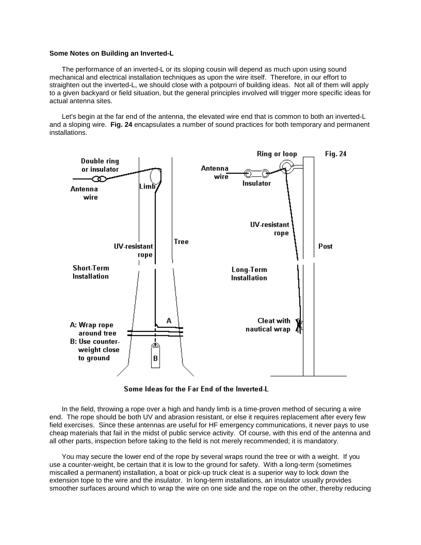## **Some Notes on Building an Inverted-L**

The performance of an inverted-L or its sloping cousin will depend as much upon using sound mechanical and electrical installation techniques as upon the wire itself. Therefore, in our effort to straighten out the inverted-L, we should close with a potpourri of building ideas. Not all of them will apply to a given backyard or field situation, but the general principles involved will trigger more specific ideas for actual antenna sites.

Let's begin at the far end of the antenna, the elevated wire end that is common to both an inverted-L and a sloping wire. **Fig. 24** encapsulates a number of sound practices for both temporary and permanent installations.



Some Ideas for the Far End of the Inverted-L

In the field, throwing a rope over a high and handy limb is a time-proven method of securing a wire end. The rope should be both UV and abrasion resistant, or else it requires replacement after every few field exercises. Since these antennas are useful for HF emergency communications, it never pays to use cheap materials that fail in the midst of public service activity. Of course, with this end of the antenna and all other parts, inspection before taking to the field is not merely recommended; it is mandatory.

You may secure the lower end of the rope by several wraps round the tree or with a weight. If you use a counter-weight, be certain that it is low to the ground for safety. With a long-term (sometimes miscalled a permanent) installation, a boat or pick-up truck cleat is a superior way to lock down the extension tope to the wire and the insulator. In long-term installations, an insulator usually provides smoother surfaces around which to wrap the wire on one side and the rope on the other, thereby reducing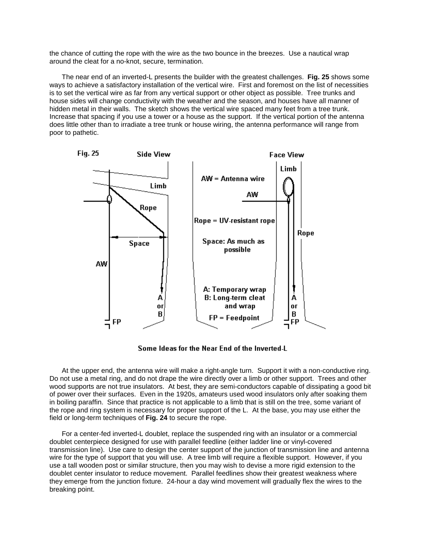the chance of cutting the rope with the wire as the two bounce in the breezes. Use a nautical wrap around the cleat for a no-knot, secure, termination.

The near end of an inverted-L presents the builder with the greatest challenges. **Fig. 25** shows some ways to achieve a satisfactory installation of the vertical wire. First and foremost on the list of necessities is to set the vertical wire as far from any vertical support or other object as possible. Tree trunks and house sides will change conductivity with the weather and the season, and houses have all manner of hidden metal in their walls. The sketch shows the vertical wire spaced many feet from a tree trunk. Increase that spacing if you use a tower or a house as the support. If the vertical portion of the antenna does little other than to irradiate a tree trunk or house wiring, the antenna performance will range from poor to pathetic.



## Some Ideas for the Near End of the Inverted-L

At the upper end, the antenna wire will make a right-angle turn. Support it with a non-conductive ring. Do not use a metal ring, and do not drape the wire directly over a limb or other support. Trees and other wood supports are not true insulators. At best, they are semi-conductors capable of dissipating a good bit of power over their surfaces. Even in the 1920s, amateurs used wood insulators only after soaking them in boiling paraffin. Since that practice is not applicable to a limb that is still on the tree, some variant of the rope and ring system is necessary for proper support of the L. At the base, you may use either the field or long-term techniques of **Fig. 24** to secure the rope.

For a center-fed inverted-L doublet, replace the suspended ring with an insulator or a commercial doublet centerpiece designed for use with parallel feedline (either ladder line or vinyl-covered transmission line). Use care to design the center support of the junction of transmission line and antenna wire for the type of support that you will use. A tree limb will require a flexible support. However, if you use a tall wooden post or similar structure, then you may wish to devise a more rigid extension to the doublet center insulator to reduce movement. Parallel feedlines show their greatest weakness where they emerge from the junction fixture. 24-hour a day wind movement will gradually flex the wires to the breaking point.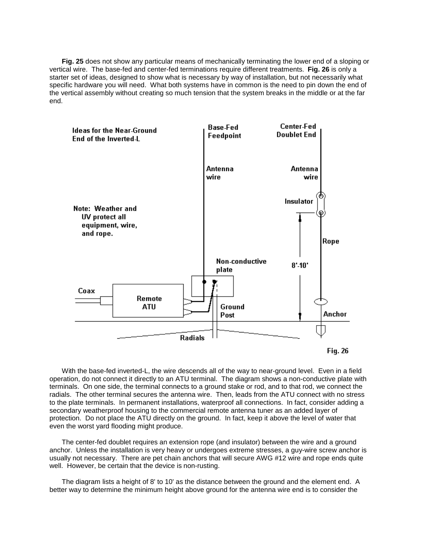**Fig. 25** does not show any particular means of mechanically terminating the lower end of a sloping or vertical wire. The base-fed and center-fed terminations require different treatments. **Fig. 26** is only a starter set of ideas, designed to show what is necessary by way of installation, but not necessarily what specific hardware you will need. What both systems have in common is the need to pin down the end of the vertical assembly without creating so much tension that the system breaks in the middle or at the far end.



With the base-fed inverted-L, the wire descends all of the way to near-ground level. Even in a field operation, do not connect it directly to an ATU terminal. The diagram shows a non-conductive plate with terminals. On one side, the terminal connects to a ground stake or rod, and to that rod, we connect the radials. The other terminal secures the antenna wire. Then, leads from the ATU connect with no stress to the plate terminals. In permanent installations, waterproof all connections. In fact, consider adding a secondary weatherproof housing to the commercial remote antenna tuner as an added layer of protection. Do not place the ATU directly on the ground. In fact, keep it above the level of water that even the worst yard flooding might produce.

The center-fed doublet requires an extension rope (and insulator) between the wire and a ground anchor. Unless the installation is very heavy or undergoes extreme stresses, a guy-wire screw anchor is usually not necessary. There are pet chain anchors that will secure AWG #12 wire and rope ends quite well. However, be certain that the device is non-rusting.

The diagram lists a height of 8' to 10' as the distance between the ground and the element end. A better way to determine the minimum height above ground for the antenna wire end is to consider the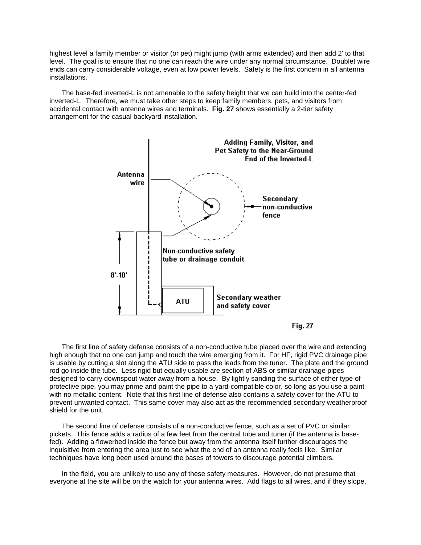highest level a family member or visitor (or pet) might jump (with arms extended) and then add 2' to that level. The goal is to ensure that no one can reach the wire under any normal circumstance. Doublet wire ends can carry considerable voltage, even at low power levels. Safety is the first concern in all antenna installations.

The base-fed inverted-L is not amenable to the safety height that we can build into the center-fed inverted-L. Therefore, we must take other steps to keep family members, pets, and visitors from accidental contact with antenna wires and terminals. **Fig. 27** shows essentially a 2-tier safety arrangement for the casual backyard installation.





The first line of safety defense consists of a non-conductive tube placed over the wire and extending high enough that no one can jump and touch the wire emerging from it. For HF, rigid PVC drainage pipe is usable by cutting a slot along the ATU side to pass the leads from the tuner. The plate and the ground rod go inside the tube. Less rigid but equally usable are section of ABS or similar drainage pipes designed to carry downspout water away from a house. By lightly sanding the surface of either type of protective pipe, you may prime and paint the pipe to a yard-compatible color, so long as you use a paint with no metallic content. Note that this first line of defense also contains a safety cover for the ATU to prevent unwanted contact. This same cover may also act as the recommended secondary weatherproof shield for the unit.

The second line of defense consists of a non-conductive fence, such as a set of PVC or similar pickets. This fence adds a radius of a few feet from the central tube and tuner (if the antenna is basefed). Adding a flowerbed inside the fence but away from the antenna itself further discourages the inquisitive from entering the area just to see what the end of an antenna really feels like. Similar techniques have long been used around the bases of towers to discourage potential climbers.

In the field, you are unlikely to use any of these safety measures. However, do not presume that everyone at the site will be on the watch for your antenna wires. Add flags to all wires, and if they slope,